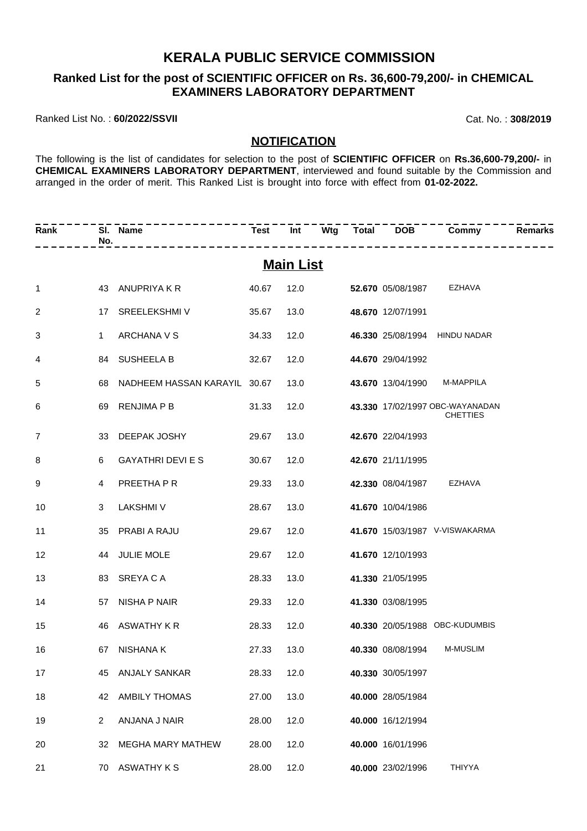### **KERALA PUBLIC SERVICE COMMISSION**

#### **Ranked List for the post of SCIENTIFIC OFFICER on Rs. 36,600-79,200/- in CHEMICAL EXAMINERS LABORATORY DEPARTMENT**

Ranked List No. : **60/2022/SSVII** Cat. No. : **308/2019**

#### **NOTIFICATION**

The following is the list of candidates for selection to the post of **SCIENTIFIC OFFICER** on **Rs.36,600-79,200/-** in **CHEMICAL EXAMINERS LABORATORY DEPARTMENT**, interviewed and found suitable by the Commission and arranged in the order of merit. This Ranked List is brought into force with effect from **01-02-2022.**

| Rank            | No.            | SI. Name                        |       |                  |  |                        | Test Int Wtg Total DOB Commy                       | <b>Remarks</b> |
|-----------------|----------------|---------------------------------|-------|------------------|--|------------------------|----------------------------------------------------|----------------|
|                 |                |                                 |       | <b>Main List</b> |  |                        |                                                    |                |
| $\mathbf{1}$    |                | 43 ANUPRIYA K R                 | 40.67 |                  |  | 12.0 52.670 05/08/1987 | EZHAVA                                             |                |
| $\mathbf{2}$    |                | 17 SREELEKSHMIV                 | 35.67 | 13.0             |  | 48.670 12/07/1991      |                                                    |                |
| 3               | $1 \quad$      | ARCHANA V S                     | 34.33 | 12.0             |  |                        | 46.330 25/08/1994 HINDU NADAR                      |                |
| 4               |                | 84 SUSHEELA B                   | 32.67 | 12.0             |  | 44.670 29/04/1992      |                                                    |                |
| 5               |                | 68 NADHEEM HASSAN KARAYIL 30.67 |       | 13.0             |  |                        | 43.670 13/04/1990 M-MAPPILA                        |                |
| 6               |                | 69 RENJIMA P B                  | 31.33 | 12.0             |  |                        | 43.330 17/02/1997 OBC-WAYANADAN<br><b>CHETTIES</b> |                |
| $\overline{7}$  |                | 33 DEEPAK JOSHY                 | 29.67 | 13.0             |  | 42.670 22/04/1993      |                                                    |                |
| 8               | 6              | <b>GAYATHRI DEVI E S</b>        | 30.67 | 12.0             |  | 42.670 21/11/1995      |                                                    |                |
| 9               | 4              | PREETHA P R                     | 29.33 | 13.0             |  | 42.330 08/04/1987      | EZHAVA                                             |                |
| 10              | 3              | <b>LAKSHMI V</b>                | 28.67 | 13.0             |  | 41.670 10/04/1986      |                                                    |                |
| 11              |                | 35 PRABI A RAJU                 | 29.67 | 12.0             |  |                        | 41.670 15/03/1987 V-VISWAKARMA                     |                |
| 12 <sup>2</sup> |                | 44 JULIE MOLE                   | 29.67 | 12.0             |  | 41.670 12/10/1993      |                                                    |                |
| 13              |                | 83 SREYACA                      | 28.33 | 13.0             |  | 41.330 21/05/1995      |                                                    |                |
| 14              |                | 57 NISHA P NAIR                 | 29.33 | 12.0             |  | 41.330 03/08/1995      |                                                    |                |
| 15              |                | 46 ASWATHY K R                  | 28.33 | 12.0             |  |                        | 40.330 20/05/1988 OBC-KUDUMBIS                     |                |
| 16              |                | 67 NISHANA K                    | 27.33 | 13.0             |  | 40.330 08/08/1994      | <b>M-MUSLIM</b>                                    |                |
| 17              | 45             | ANJALY SANKAR                   | 28.33 | 12.0             |  | 40.330 30/05/1997      |                                                    |                |
| 18              | 42             | <b>AMBILY THOMAS</b>            | 27.00 | 13.0             |  | 40.000 28/05/1984      |                                                    |                |
| 19              | $\overline{2}$ | ANJANA J NAIR                   | 28.00 | 12.0             |  | 40.000 16/12/1994      |                                                    |                |
| 20              | 32             | <b>MEGHA MARY MATHEW</b>        | 28.00 | 12.0             |  | 40.000 16/01/1996      |                                                    |                |
| 21              | 70             | <b>ASWATHY K S</b>              | 28.00 | 12.0             |  | 40.000 23/02/1996      | THIYYA                                             |                |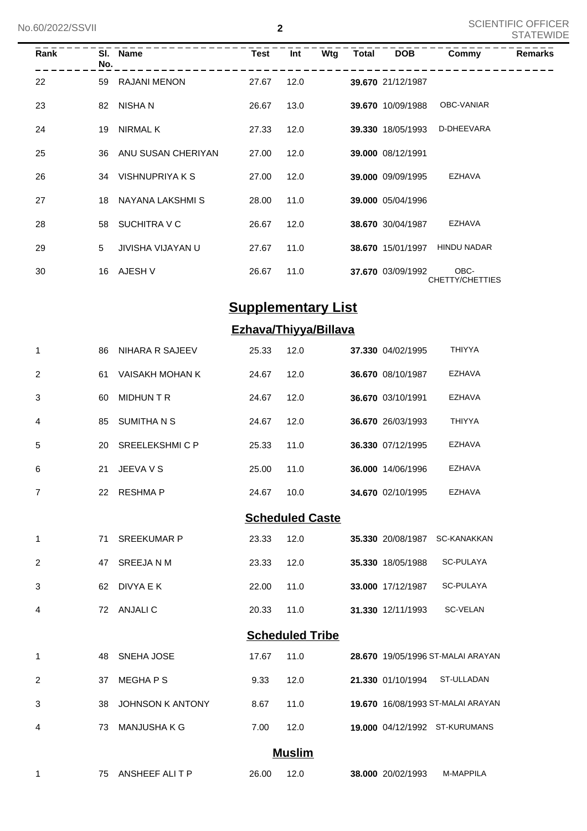| Rank | No. | SI. Name            | Test  | Int  | Wtg | Total | <b>DOB</b>        | Commy                   | <b>Remarks</b> |
|------|-----|---------------------|-------|------|-----|-------|-------------------|-------------------------|----------------|
| 22   | 59  | <b>RAJANI MENON</b> | 27.67 | 12.0 |     |       | 39.670 21/12/1987 |                         |                |
| 23   | 82  | NISHA N             | 26.67 | 13.0 |     |       | 39.670 10/09/1988 | OBC-VANIAR              |                |
| 24   | 19  | NIRMAL K            | 27.33 | 12.0 |     |       | 39.330 18/05/1993 | D-DHEEVARA              |                |
| 25   | 36  | ANU SUSAN CHERIYAN  | 27.00 | 12.0 |     |       | 39.000 08/12/1991 |                         |                |
| 26   | 34  | VISHNUPRIYA K S     | 27.00 | 12.0 |     |       | 39.000 09/09/1995 | EZHAVA                  |                |
| 27   | 18  | NAYANA LAKSHMI S    | 28.00 | 11.0 |     |       | 39.000 05/04/1996 |                         |                |
| 28   | 58  | SUCHITRA V C        | 26.67 | 12.0 |     |       | 38.670 30/04/1987 | EZHAVA                  |                |
| 29   | 5   | JIVISHA VIJAYAN U   | 27.67 | 11.0 |     |       | 38.670 15/01/1997 | <b>HINDU NADAR</b>      |                |
| 30   | 16  | AJESH V             | 26.67 | 11.0 |     |       | 37.670 03/09/1992 | OBC-<br>CHETTY/CHETTIES |                |

# **Supplementary List**

### **Ezhava/Thiyya/Billava**

| 1              | 86 | NIHARA R SAJEEV      | 25.33 | 12.0                   | 37.330 04/02/1995 | <b>THIYYA</b>      |
|----------------|----|----------------------|-------|------------------------|-------------------|--------------------|
| 2              | 61 | VAISAKH MOHAN K      | 24.67 | 12.0                   | 36.670 08/10/1987 | <b>EZHAVA</b>      |
| 3              | 60 | <b>MIDHUN T R</b>    | 24.67 | 12.0                   | 36.670 03/10/1991 | <b>EZHAVA</b>      |
| $\overline{4}$ | 85 | <b>SUMITHANS</b>     | 24.67 | 12.0                   | 36.670 26/03/1993 | <b>THIYYA</b>      |
| 5              | 20 | <b>SREELEKSHMICP</b> | 25.33 | 11.0                   | 36.330 07/12/1995 | <b>EZHAVA</b>      |
| 6              | 21 | JEEVA V S            | 25.00 | 11.0                   | 36.000 14/06/1996 | <b>EZHAVA</b>      |
| $\overline{7}$ | 22 | <b>RESHMAP</b>       | 24.67 | 10.0                   | 34.670 02/10/1995 | <b>EZHAVA</b>      |
|                |    |                      |       | <b>Scheduled Caste</b> |                   |                    |
| 1              | 71 | <b>SREEKUMAR P</b>   | 23.33 | 12.0                   | 35.330 20/08/1987 | <b>SC-KANAKKAN</b> |
| $\overline{2}$ | 47 | SREEJA N M           | 23.33 | 12.0                   | 35.330 18/05/1988 | SC-PULAYA          |

|   | 62 DIVYA E K | 22.00 11.0 |  | 33.000 17/12/1987 SC-PULAYA |          |
|---|--------------|------------|--|-----------------------------|----------|
| 4 | 72 ANJALI C  | 20.33 11.0 |  | 31.330 12/11/1993           | SC-VELAN |

#### **Scheduled Tribe**

|   |     | 48 SNEHA JOSE       | 17.67 | 11.0 |                   | 28.670 19/05/1996 ST-MALAI ARAYAN |
|---|-----|---------------------|-------|------|-------------------|-----------------------------------|
| 2 |     | 37 MEGHAPS          | 9.33  | 12.0 | 21.330 01/10/1994 | ST-ULLADAN                        |
| 3 |     | 38 JOHNSON K ANTONY | 8.67  | 11.0 |                   | 19.670 16/08/1993 ST-MALAI ARAYAN |
| 4 | 73. | MANJUSHA K G        | 7.00  | 12.0 |                   | 19.000 04/12/1992 ST-KURUMANS     |
|   |     |                     |       |      |                   |                                   |

## **Muslim**

| 75 ANSHEEF ALI T P | 26.00 | 38,000 20/02/1993 | M-MAPPILA |
|--------------------|-------|-------------------|-----------|
|                    |       |                   |           |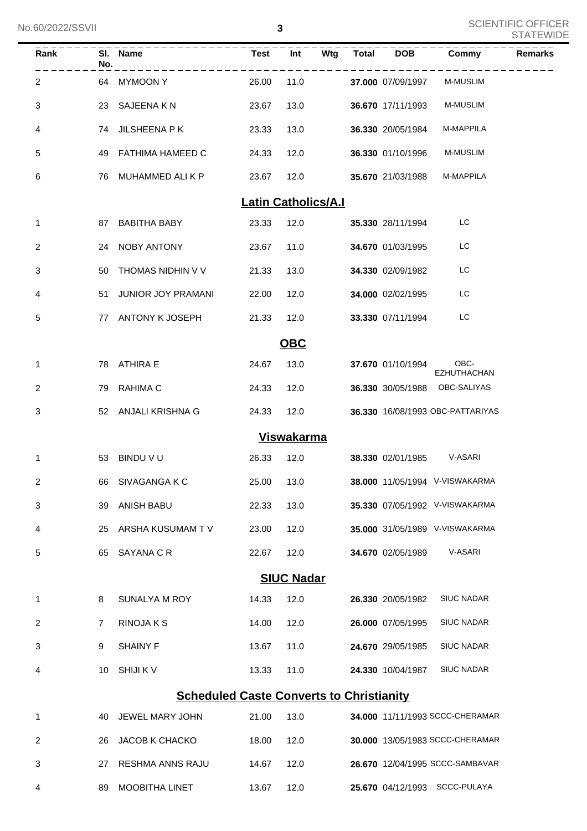| Rank           | No. | SI. Name<br>- - - - - - - - - - -               |                            | $Test$ $\overline{I}$ $\overline{I}$ |      | Wtg Total DOB          | Commy                            | <b>Remarks</b> |
|----------------|-----|-------------------------------------------------|----------------------------|--------------------------------------|------|------------------------|----------------------------------|----------------|
| $\overline{2}$ |     | 64 MYMOON Y                                     | 26.00                      |                                      | 11.0 | 37.000 07/09/1997      | <b>M-MUSLIM</b>                  |                |
| 3              |     | 23 SAJEENA K N                                  | 23.67                      | 13.0                                 |      | 36.670 17/11/1993      | <b>M-MUSLIM</b>                  |                |
| 4              |     | 74 JILSHEENA P K                                | 23.33                      | 13.0                                 |      | 36.330 20/05/1984      | M-MAPPILA                        |                |
| 5              |     | 49 FATHIMA HAMEED C                             | 24.33                      | 12.0                                 |      | 36.330 01/10/1996      | <b>M-MUSLIM</b>                  |                |
| 6              |     | 76 MUHAMMED ALI K P                             | 23.67                      | 12.0                                 |      | 35.670 21/03/1988      | M-MAPPILA                        |                |
|                |     |                                                 | <b>Latin Catholics/A.I</b> |                                      |      |                        |                                  |                |
| $\mathbf{1}$   |     | 87 BABITHA BABY                                 | 23.33                      | 12.0                                 |      | 35.330 28/11/1994      | LC                               |                |
| 2              |     | 24 NOBY ANTONY                                  | 23.67                      | 11.0                                 |      | 34.670 01/03/1995      | LC                               |                |
| 3              |     | 50 THOMAS NIDHIN V V                            | 21.33                      | 13.0                                 |      | 34.330 02/09/1982      | LC                               |                |
| 4              |     | 51 JUNIOR JOY PRAMANI                           | 22.00                      | 12.0                                 |      | 34.000 02/02/1995      | LC                               |                |
| 5              |     | 77 ANTONY K JOSEPH                              | 21.33                      | 12.0                                 |      | 33.330 07/11/1994      | LC                               |                |
|                |     |                                                 |                            | OBC                                  |      |                        |                                  |                |
| $\mathbf{1}$   |     | 78 ATHIRA E                                     | 24.67                      | 13.0                                 |      | 37.670 01/10/1994 OBC- | <b>EZHUTHACHAN</b>               |                |
| 2              |     | 79 RAHIMA C                                     | 24.33                      | 12.0                                 |      |                        | 36.330 30/05/1988 OBC-SALIYAS    |                |
| 3              |     | 52 ANJALI KRISHNA G                             | 24.33                      | 12.0                                 |      |                        | 36.330 16/08/1993 OBC-PATTARIYAS |                |
|                |     |                                                 |                            | <b>Viswakarma</b>                    |      |                        |                                  |                |
| 1              |     | 53 BINDU V U                                    | 26.33                      | 12.0                                 |      |                        | 38.330 02/01/1985 V-ASARI        |                |
| 2              |     | 66 SIVAGANGA K C                                | 25.00                      | 13.0                                 |      |                        | 38.000 11/05/1994 V-VISWAKARMA   |                |
| 3              | 39  | <b>ANISH BABU</b>                               | 22.33                      | 13.0                                 |      |                        | 35.330 07/05/1992 V-VISWAKARMA   |                |
| 4              | 25  | ARSHA KUSUMAM TV                                | 23.00                      | 12.0                                 |      |                        | 35.000 31/05/1989 V-VISWAKARMA   |                |
| 5              | 65  | SAYANA C R                                      | 22.67                      | 12.0                                 |      | 34.670 02/05/1989      | V-ASARI                          |                |
|                |     |                                                 |                            | <b>SIUC Nadar</b>                    |      |                        |                                  |                |
| 1              | 8   | SUNALYA M ROY                                   | 14.33                      | 12.0                                 |      | 26.330 20/05/1982      | <b>SIUC NADAR</b>                |                |
| 2              | 7   | RINOJA K S                                      | 14.00                      | 12.0                                 |      | 26.000 07/05/1995      | <b>SIUC NADAR</b>                |                |
| 3              | 9   | <b>SHAINY F</b>                                 | 13.67                      | 11.0                                 |      | 24.670 29/05/1985      | <b>SIUC NADAR</b>                |                |
| 4              | 10  | <b>SHIJI K V</b>                                | 13.33                      | 11.0                                 |      | 24.330 10/04/1987      | <b>SIUC NADAR</b>                |                |
|                |     | <b>Scheduled Caste Converts to Christianity</b> |                            |                                      |      |                        |                                  |                |
| 1              | 40  | JEWEL MARY JOHN                                 | 21.00                      | 13.0                                 |      |                        | 34.000 11/11/1993 SCCC-CHERAMAR  |                |
| 2              | 26  | <b>JACOB K CHACKO</b>                           | 18.00                      | 12.0                                 |      |                        | 30.000 13/05/1983 SCCC-CHERAMAR  |                |
| 3              | 27  | RESHMA ANNS RAJU                                | 14.67                      | 12.0                                 |      |                        | 26.670 12/04/1995 SCCC-SAMBAVAR  |                |
| 4              | 89  | MOOBITHA LINET                                  | 13.67                      | 12.0                                 |      |                        | 25.670 04/12/1993 SCCC-PULAYA    |                |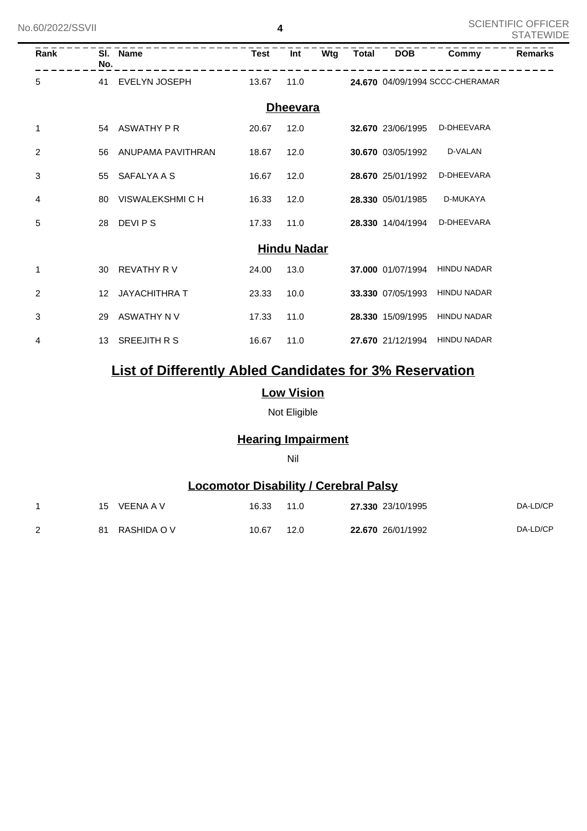| No.60/2022/SSVII |                                                                                                                                                                                                                                                                                                                                                                                                                                                                                                                                                                                                                                                                                                                                                                                                                                          |  |             |      |     |              |            |       | <b>OUIEIVITEIU UFFIUEN</b><br><b>STATEWIDE</b> |
|------------------|------------------------------------------------------------------------------------------------------------------------------------------------------------------------------------------------------------------------------------------------------------------------------------------------------------------------------------------------------------------------------------------------------------------------------------------------------------------------------------------------------------------------------------------------------------------------------------------------------------------------------------------------------------------------------------------------------------------------------------------------------------------------------------------------------------------------------------------|--|-------------|------|-----|--------------|------------|-------|------------------------------------------------|
| Rank             |                                                                                                                                                                                                                                                                                                                                                                                                                                                                                                                                                                                                                                                                                                                                                                                                                                          |  | <b>Test</b> | Int  | Wtg | <b>Total</b> | <b>DOB</b> | Commy | <b>Remarks</b>                                 |
| 5                |                                                                                                                                                                                                                                                                                                                                                                                                                                                                                                                                                                                                                                                                                                                                                                                                                                          |  | 13.67       | 11.0 |     |              |            |       |                                                |
|                  | 4<br>SI. Name<br>No.<br>41 EVELYN JOSEPH<br>24.670 04/09/1994 SCCC-CHERAMAR<br><b>Dheevara</b><br>54 ASWATHY P R<br>20.67<br>12.0<br>D-DHEEVARA<br>32.670 23/06/1995<br>D-VALAN<br>56 ANUPAMA PAVITHRAN<br>30.670 03/05/1992<br>18.67<br>12.0<br>D-DHEEVARA<br>55 SAFALYA A S<br>16.67<br>12.0<br>28.670 25/01/1992<br>D-MUKAYA<br>VISWALEKSHMI C H<br>16.33<br>12.0<br>28.330 05/01/1985<br>80<br>28 DEVIPS<br>D-DHEEVARA<br>17.33<br>11.0<br>28.330 14/04/1994<br><b>Hindu Nadar</b><br>REVATHY R V<br><b>HINDU NADAR</b><br>24.00<br>13.0<br>37.000 01/07/1994<br>30<br>JAYACHITHRA T<br>23.33<br>10.0<br>33.330 07/05/1993<br><b>HINDU NADAR</b><br>12 <sup>12</sup><br>29 ASWATHY N V<br>17.33<br>11.0<br>28.330 15/09/1995<br><b>HINDU NADAR</b><br>SREEJITH R S<br>16.67<br>27.670 21/12/1994<br><b>HINDU NADAR</b><br>11.0<br>13 |  |             |      |     |              |            |       |                                                |
| 1                |                                                                                                                                                                                                                                                                                                                                                                                                                                                                                                                                                                                                                                                                                                                                                                                                                                          |  |             |      |     |              |            |       |                                                |
| 2                |                                                                                                                                                                                                                                                                                                                                                                                                                                                                                                                                                                                                                                                                                                                                                                                                                                          |  |             |      |     |              |            |       |                                                |
| 3                |                                                                                                                                                                                                                                                                                                                                                                                                                                                                                                                                                                                                                                                                                                                                                                                                                                          |  |             |      |     |              |            |       |                                                |
| 4                |                                                                                                                                                                                                                                                                                                                                                                                                                                                                                                                                                                                                                                                                                                                                                                                                                                          |  |             |      |     |              |            |       |                                                |
| 5                |                                                                                                                                                                                                                                                                                                                                                                                                                                                                                                                                                                                                                                                                                                                                                                                                                                          |  |             |      |     |              |            |       |                                                |
|                  |                                                                                                                                                                                                                                                                                                                                                                                                                                                                                                                                                                                                                                                                                                                                                                                                                                          |  |             |      |     |              |            |       |                                                |
| 1                |                                                                                                                                                                                                                                                                                                                                                                                                                                                                                                                                                                                                                                                                                                                                                                                                                                          |  |             |      |     |              |            |       |                                                |
| 2                |                                                                                                                                                                                                                                                                                                                                                                                                                                                                                                                                                                                                                                                                                                                                                                                                                                          |  |             |      |     |              |            |       |                                                |
| 3                |                                                                                                                                                                                                                                                                                                                                                                                                                                                                                                                                                                                                                                                                                                                                                                                                                                          |  |             |      |     |              |            |       |                                                |
| 4                |                                                                                                                                                                                                                                                                                                                                                                                                                                                                                                                                                                                                                                                                                                                                                                                                                                          |  |             |      |     |              |            |       |                                                |

## **List of Differently Abled Candidates for 3% Reservation**

#### **Low Vision**

Not Eligible

### **Hearing Impairment**

#### Nil

## **Locomotor Disability / Cerebral Palsy**

|   | 15 | VEENA A V   | 16.33 | 11.0 | 27,330 23/10/1995 | DA-LD/CP |
|---|----|-------------|-------|------|-------------------|----------|
| 2 | 81 | RASHIDA O V | 10.67 | 12.0 | 22.670 26/01/1992 | DA-LD/CP |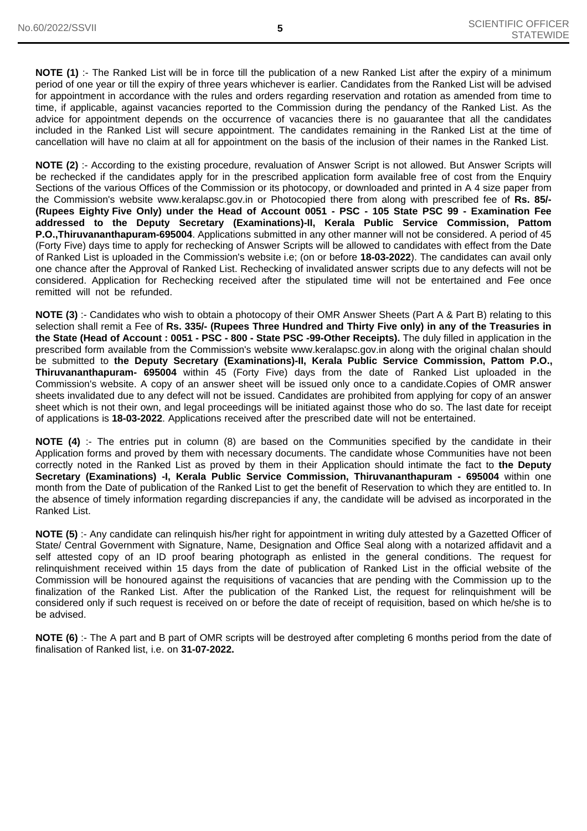**NOTE (1)** :- The Ranked List will be in force till the publication of a new Ranked List after the expiry of a minimum period of one year or till the expiry of three years whichever is earlier. Candidates from the Ranked List will be advised for appointment in accordance with the rules and orders regarding reservation and rotation as amended from time to time, if applicable, against vacancies reported to the Commission during the pendancy of the Ranked List. As the advice for appointment depends on the occurrence of vacancies there is no gauarantee that all the candidates included in the Ranked List will secure appointment. The candidates remaining in the Ranked List at the time of cancellation will have no claim at all for appointment on the basis of the inclusion of their names in the Ranked List.

**NOTE (2)** :- According to the existing procedure, revaluation of Answer Script is not allowed. But Answer Scripts will be rechecked if the candidates apply for in the prescribed application form available free of cost from the Enquiry Sections of the various Offices of the Commission or its photocopy, or downloaded and printed in A 4 size paper from the Commission's website www.keralapsc.gov.in or Photocopied there from along with prescribed fee of **Rs. 85/- (Rupees Eighty Five Only) under the Head of Account 0051 - PSC - 105 State PSC 99 - Examination Fee addressed to the Deputy Secretary (Examinations)-II, Kerala Public Service Commission, Pattom P.O.,Thiruvananthapuram-695004**. Applications submitted in any other manner will not be considered. A period of 45 (Forty Five) days time to apply for rechecking of Answer Scripts will be allowed to candidates with effect from the Date of Ranked List is uploaded in the Commission's website i.e; (on or before **18-03-2022**). The candidates can avail only one chance after the Approval of Ranked List. Rechecking of invalidated answer scripts due to any defects will not be considered. Application for Rechecking received after the stipulated time will not be entertained and Fee once remitted will not be refunded.

**NOTE (3)** :- Candidates who wish to obtain a photocopy of their OMR Answer Sheets (Part A & Part B) relating to this selection shall remit a Fee of **Rs. 335/- (Rupees Three Hundred and Thirty Five only) in any of the Treasuries in the State (Head of Account : 0051 - PSC - 800 - State PSC -99-Other Receipts).** The duly filled in application in the prescribed form available from the Commission's website www.keralapsc.gov.in along with the original chalan should be submitted to **the Deputy Secretary (Examinations)-II, Kerala Public Service Commission, Pattom P.O., Thiruvananthapuram- 695004** within 45 (Forty Five) days from the date of Ranked List uploaded in the Commission's website. A copy of an answer sheet will be issued only once to a candidate.Copies of OMR answer sheets invalidated due to any defect will not be issued. Candidates are prohibited from applying for copy of an answer sheet which is not their own, and legal proceedings will be initiated against those who do so. The last date for receipt of applications is **18-03-2022**. Applications received after the prescribed date will not be entertained.

**NOTE (4)** :- The entries put in column (8) are based on the Communities specified by the candidate in their Application forms and proved by them with necessary documents. The candidate whose Communities have not been correctly noted in the Ranked List as proved by them in their Application should intimate the fact to **the Deputy Secretary (Examinations) -I, Kerala Public Service Commission, Thiruvananthapuram - 695004** within one month from the Date of publication of the Ranked List to get the benefit of Reservation to which they are entitled to. In the absence of timely information regarding discrepancies if any, the candidate will be advised as incorporated in the Ranked List.

**NOTE (5)** :- Any candidate can relinquish his/her right for appointment in writing duly attested by a Gazetted Officer of State/ Central Government with Signature, Name, Designation and Office Seal along with a notarized affidavit and a self attested copy of an ID proof bearing photograph as enlisted in the general conditions. The request for relinquishment received within 15 days from the date of publication of Ranked List in the official website of the Commission will be honoured against the requisitions of vacancies that are pending with the Commission up to the finalization of the Ranked List. After the publication of the Ranked List, the request for relinquishment will be considered only if such request is received on or before the date of receipt of requisition, based on which he/she is to be advised.

**NOTE (6)** :- The A part and B part of OMR scripts will be destroyed after completing 6 months period from the date of finalisation of Ranked list, i.e. on **31-07-2022.**